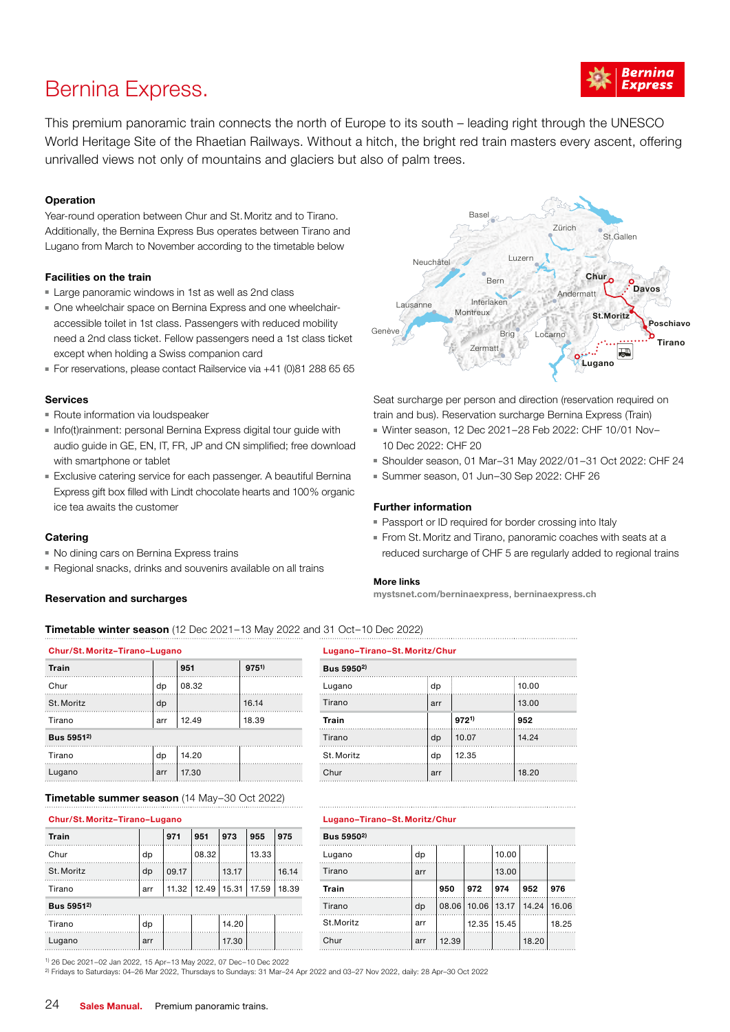

## Bernina Express.

This premium panoramic train connects the north of Europe to its south – leading right through the UNESCO World Heritage Site of the Rhaetian Railways. Without a hitch, the bright red train masters every ascent, offering unrivalled views not only of mountains and glaciers but also of palm trees.

#### **Operation**

Year-round operation between Chur and St.Moritz and to Tirano. Additionally, the Bernina Express Bus operates between Tirano and Lugano from March to November according to the timetable below

#### Facilities on the train

- Large panoramic windows in 1st as well as 2nd class
- One wheelchair space on Bernina Express and one wheelchairaccessible toilet in 1st class. Passengers with reduced mobility need a 2nd class ticket. Fellow passengers need a 1st class ticket except when holding a Swiss companion card
- For reservations, please contact Railservice via +41 (0)81 288 65 65

#### Services

- Route information via loudspeaker
- Info(t)rainment: personal Bernina Express digital tour guide with audio guide in GE, EN, IT, FR, JP and CN simplified; free download with smartphone or tablet
- Exclusive catering service for each passenger. A beautiful Bernina Express gift box filled with Lindt chocolate hearts and 100% organic ice tea awaits the customer

### **Catering**

- No dining cars on Bernina Express trains
- Regional snacks, drinks and souvenirs available on all trains

### Reservation and surcharges

Basel Zürich St.Gallen Luzern Neuchâtel **Chur Bern** Davos Andermatt Interlaken Lausanne Interl St.Moritz Poschiavo Genève A Sing Locarno Brig Tirano Zermatt |⋥ **Lugano** 

Seat surcharge per person and direction (reservation required on train and bus). Reservation surcharge Bernina Express (Train)

- Winter season, 12 Dec 2021–28 Feb 2022: CHF 10/01 Nov– 10 Dec 2022: CHF 20
- Shoulder season, 01 Mar–31 May 2022/01–31 Oct 2022: CHF 24
- Summer season, 01 Jun–30 Sep 2022: CHF 26

#### Further information

- Passport or ID required for border crossing into Italy
- From St. Moritz and Tirano, panoramic coaches with seats at a reduced surcharge of CHF 5 are regularly added to regional trains

#### More links

Chur/St. Moritz–Tirano–Lugano Lugano–Tirano–St. Moritz/Chur

mystsnet.com/berninaexpress, berninaexpress.ch

Timetable winter season (12 Dec 2021–13 May 2022 and 31 Oct–10 Dec 2022)

| Chur/St. Moritz-Tirano-Lugano |     |       |           | Lugano-Tirano-St. Moritz/Chur |     |           |       |  |  |
|-------------------------------|-----|-------|-----------|-------------------------------|-----|-----------|-------|--|--|
| Train                         |     | 951   | $975^{1}$ | Bus 5950 <sup>2)</sup>        |     |           |       |  |  |
| Chur                          | dp  | 08.32 |           | Lugano                        | dp  |           | 10.00 |  |  |
| St. Moritz                    | dp  |       | 16.14     | Tirano                        | arr |           | 13.00 |  |  |
| Tirano                        | arr | 12.49 | 18.39     | Train                         |     | $972^{1}$ | 952   |  |  |
| Bus 5951 <sup>2)</sup>        |     |       |           | Tirano                        | dp  | 10.07     | 14.24 |  |  |
| Tirano                        | dp  | 14.20 |           | St. Moritz                    | dp  | 12.35     |       |  |  |
| Lugano                        | arr | 17.30 |           | Chur                          | arr |           | 18.20 |  |  |
|                               |     |       |           |                               |     |           |       |  |  |

Timetable summer season (14 May–30 Oct 2022)

| Train                  |     | 971   | 951                           | 973   | 955   | 975   | Bus 5950 <sup>2)</sup> |     |       |     |               |                               |       |
|------------------------|-----|-------|-------------------------------|-------|-------|-------|------------------------|-----|-------|-----|---------------|-------------------------------|-------|
| Chur                   | dp  |       | 08.32                         |       | 13.33 |       | Luaano                 | dp  |       |     | 10.00         |                               |       |
| St. Moritz             | dp  | 09.17 |                               | 13.17 |       | 16.14 | Tirano                 | arr |       |     | 13.00         |                               |       |
| Tirano                 | arr |       | 11.32   12.49   15.31   17.59 |       |       | 18.39 | Train                  |     | 950   | 972 | 974           | 952                           | 976   |
| Bus 5951 <sup>2)</sup> |     |       |                               |       |       |       | Tirano                 | dp  |       |     |               | 08.06 10.06 13.17 14.24 16.06 |       |
| Tirano                 | dp  |       |                               | 14.20 |       |       | St.Moritz              | arr |       |     | 12.35   15.45 |                               | 18.25 |
| Luganc                 | arr |       |                               | 17.30 |       |       | Chur                   | arr | 12.39 |     |               | 18.20                         |       |

 $Bus 5950<sup>2</sup>$ 

#### Chur/St. Moritz–Tirano–Lugano Lugano–Tirano–St. Moritz/Chur

| Bus 5950 <sup>2)</sup> |     |       |       |                         |       |       |  |  |  |  |
|------------------------|-----|-------|-------|-------------------------|-------|-------|--|--|--|--|
| Lugano                 | dp  |       |       | 10.00                   |       |       |  |  |  |  |
| Tirano                 | arr |       |       | 13.00                   |       |       |  |  |  |  |
| <b>Train</b>           |     | 950   | 972   | 974                     | 952   | 976   |  |  |  |  |
| Tirano                 | dp  |       |       | 08.06 10.06 13.17 14.24 |       | 16.06 |  |  |  |  |
| St.Moritz              | arr |       | 12.35 | 15.45                   |       | 18.25 |  |  |  |  |
| Chur                   | arr | 12.39 |       |                         | 18.20 |       |  |  |  |  |

1) 26 Dec 2021–02 Jan 2022, 15 Apr–13 May 2022, 07 Dec–10 Dec 2022

2) Fridays to Saturdays: 04–26 Mar 2022, Thursdays to Sundays: 31 Mar–24 Apr 2022 and 03–27 Nov 2022, daily: 28 Apr–30 Oct 2022